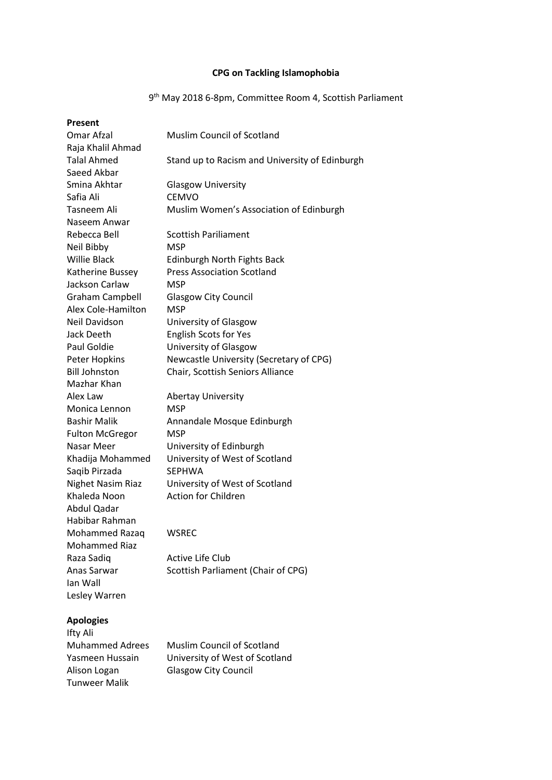# **CPG on Tackling Islamophobia**

#### 9 th May 2018 6-8pm, Committee Room 4, Scottish Parliament

| Present                |                                                |
|------------------------|------------------------------------------------|
| Omar Afzal             | <b>Muslim Council of Scotland</b>              |
| Raja Khalil Ahmad      |                                                |
| <b>Talal Ahmed</b>     | Stand up to Racism and University of Edinburgh |
| Saeed Akbar            |                                                |
| Smina Akhtar           | <b>Glasgow University</b>                      |
| Safia Ali              | <b>CEMVO</b>                                   |
| Tasneem Ali            | Muslim Women's Association of Edinburgh        |
| Naseem Anwar           |                                                |
| Rebecca Bell           | <b>Scottish Pariliament</b>                    |
| Neil Bibby             | <b>MSP</b>                                     |
| <b>Willie Black</b>    | Edinburgh North Fights Back                    |
| Katherine Bussey       | <b>Press Association Scotland</b>              |
| Jackson Carlaw         | <b>MSP</b>                                     |
| <b>Graham Campbell</b> | <b>Glasgow City Council</b>                    |
| Alex Cole-Hamilton     | <b>MSP</b>                                     |
| Neil Davidson          | University of Glasgow                          |
| Jack Deeth             | <b>English Scots for Yes</b>                   |
| Paul Goldie            | University of Glasgow                          |
| Peter Hopkins          | Newcastle University (Secretary of CPG)        |
| <b>Bill Johnston</b>   | Chair, Scottish Seniors Alliance               |
| Mazhar Khan            |                                                |
| Alex Law               | <b>Abertay University</b>                      |
| Monica Lennon          | <b>MSP</b>                                     |
| <b>Bashir Malik</b>    | Annandale Mosque Edinburgh                     |
| <b>Fulton McGregor</b> | <b>MSP</b>                                     |
| Nasar Meer             | University of Edinburgh                        |
| Khadija Mohammed       | University of West of Scotland                 |
| Saqib Pirzada          | <b>SEPHWA</b>                                  |
| Nighet Nasim Riaz      | University of West of Scotland                 |
| Khaleda Noon           | <b>Action for Children</b>                     |
| <b>Abdul Qadar</b>     |                                                |
| Habibar Rahman         |                                                |
| Mohammed Razaq         | WSREC                                          |
| <b>Mohammed Riaz</b>   |                                                |
| Raza Sadiq             | Active Life Club                               |
| Anas Sarwar            | Scottish Parliament (Chair of CPG)             |
| lan Wall               |                                                |
| Lesley Warren          |                                                |
|                        |                                                |

## **Apologies**

| Ifty Ali               |        |
|------------------------|--------|
| <b>Muhammed Adrees</b> | Muslin |
| Yasmeen Hussain        | Univer |
| Alison Logan           | Glasgo |
| Tunweer Malik          |        |

m Council of Scotland rsity of West of Scotland ow City Council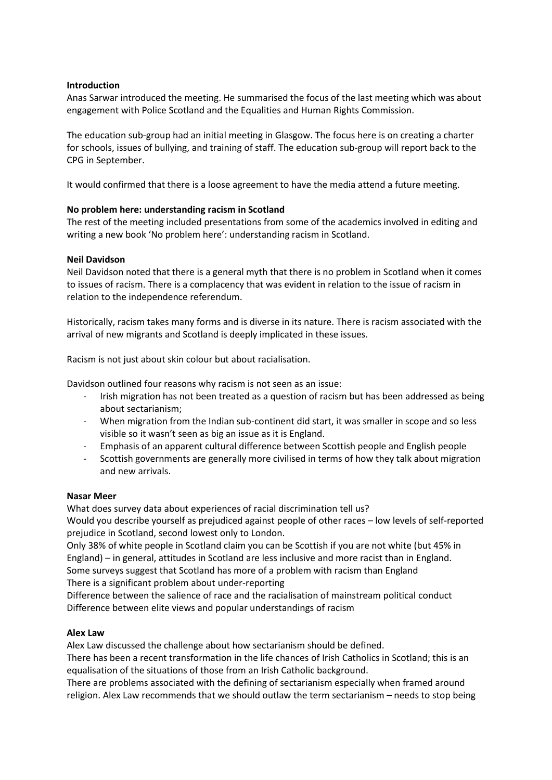## **Introduction**

Anas Sarwar introduced the meeting. He summarised the focus of the last meeting which was about engagement with Police Scotland and the Equalities and Human Rights Commission.

The education sub-group had an initial meeting in Glasgow. The focus here is on creating a charter for schools, issues of bullying, and training of staff. The education sub-group will report back to the CPG in September.

It would confirmed that there is a loose agreement to have the media attend a future meeting.

# **No problem here: understanding racism in Scotland**

The rest of the meeting included presentations from some of the academics involved in editing and writing a new book 'No problem here': understanding racism in Scotland.

# **Neil Davidson**

Neil Davidson noted that there is a general myth that there is no problem in Scotland when it comes to issues of racism. There is a complacency that was evident in relation to the issue of racism in relation to the independence referendum.

Historically, racism takes many forms and is diverse in its nature. There is racism associated with the arrival of new migrants and Scotland is deeply implicated in these issues.

Racism is not just about skin colour but about racialisation.

Davidson outlined four reasons why racism is not seen as an issue:

- Irish migration has not been treated as a question of racism but has been addressed as being about sectarianism;
- When migration from the Indian sub-continent did start, it was smaller in scope and so less visible so it wasn't seen as big an issue as it is England.
- Emphasis of an apparent cultural difference between Scottish people and English people
- Scottish governments are generally more civilised in terms of how they talk about migration and new arrivals.

## **Nasar Meer**

What does survey data about experiences of racial discrimination tell us?

Would you describe yourself as prejudiced against people of other races – low levels of self-reported prejudice in Scotland, second lowest only to London.

Only 38% of white people in Scotland claim you can be Scottish if you are not white (but 45% in England) – in general, attitudes in Scotland are less inclusive and more racist than in England. Some surveys suggest that Scotland has more of a problem with racism than England There is a significant problem about under-reporting

Difference between the salience of race and the racialisation of mainstream political conduct Difference between elite views and popular understandings of racism

# **Alex Law**

Alex Law discussed the challenge about how sectarianism should be defined.

There has been a recent transformation in the life chances of Irish Catholics in Scotland; this is an equalisation of the situations of those from an Irish Catholic background.

There are problems associated with the defining of sectarianism especially when framed around religion. Alex Law recommends that we should outlaw the term sectarianism – needs to stop being